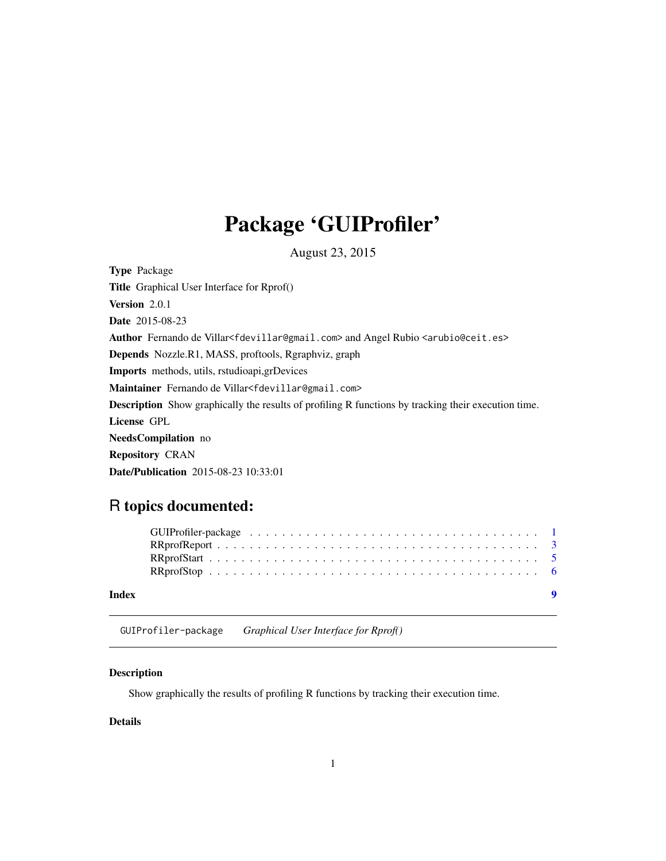## <span id="page-0-0"></span>Package 'GUIProfiler'

August 23, 2015

<span id="page-0-1"></span>Type Package Title Graphical User Interface for Rprof() Version 2.0.1 Date 2015-08-23 Author Fernando de Villar<fdevillar@gmail.com> and Angel Rubio <arubio@ceit.es> Depends Nozzle.R1, MASS, proftools, Rgraphviz, graph Imports methods, utils, rstudioapi,grDevices Maintainer Fernando de Villar<fdevillar@gmail.com> Description Show graphically the results of profiling R functions by tracking their execution time. License GPL NeedsCompilation no Repository CRAN Date/Publication 2015-08-23 10:33:01

### R topics documented:

| Index |  |
|-------|--|

GUIProfiler-package *Graphical User Interface for Rprof()*

#### Description

Show graphically the results of profiling R functions by tracking their execution time.

#### Details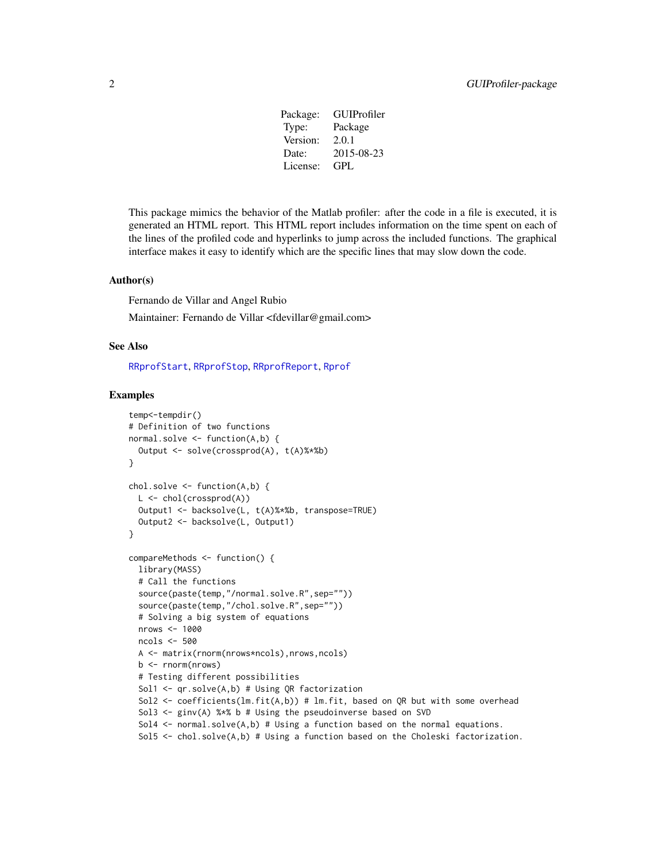| Package: | GUIProfiler |
|----------|-------------|
| Type:    | Package     |
| Version: | 2.0.1       |
| Date:    | 2015-08-23  |
| License: | GPL         |

<span id="page-1-0"></span>This package mimics the behavior of the Matlab profiler: after the code in a file is executed, it is generated an HTML report. This HTML report includes information on the time spent on each of the lines of the profiled code and hyperlinks to jump across the included functions. The graphical interface makes it easy to identify which are the specific lines that may slow down the code.

#### Author(s)

Fernando de Villar and Angel Rubio Maintainer: Fernando de Villar <fdevillar@gmail.com>

#### See Also

[RRprofStart](#page-4-1), [RRprofStop](#page-5-1), [RRprofReport](#page-2-1), [Rprof](#page-0-1)

#### Examples

```
temp<-tempdir()
# Definition of two functions
normal.solve <- function(A,b) {
  Output <- solve(crossprod(A), t(A)%*%b)
}
chol.solve <- function(A,b) {
  L \le - chol(crossprod(A))
  Output1 <- backsolve(L, t(A)%*%b, transpose=TRUE)
  Output2 <- backsolve(L, Output1)
}
compareMethods <- function() {
  library(MASS)
  # Call the functions
  source(paste(temp,"/normal.solve.R",sep=""))
  source(paste(temp,"/chol.solve.R",sep=""))
  # Solving a big system of equations
  nrows <- 1000
  ncols <- 500
  A <- matrix(rnorm(nrows*ncols),nrows,ncols)
  b <- rnorm(nrows)
  # Testing different possibilities
  Sol1 <- qr.solve(A,b) # Using QR factorization
  Sol2 <- coefficients(lm.fit(A,b)) # lm.fit, based on QR but with some overhead
  Sol3 <- ginv(A) %*% b # Using the pseudoinverse based on SVD
  Sol4 \le normal.solve(A,b) # Using a function based on the normal equations.
  Sol5 \le chol.solve(A,b) # Using a function based on the Choleski factorization.
```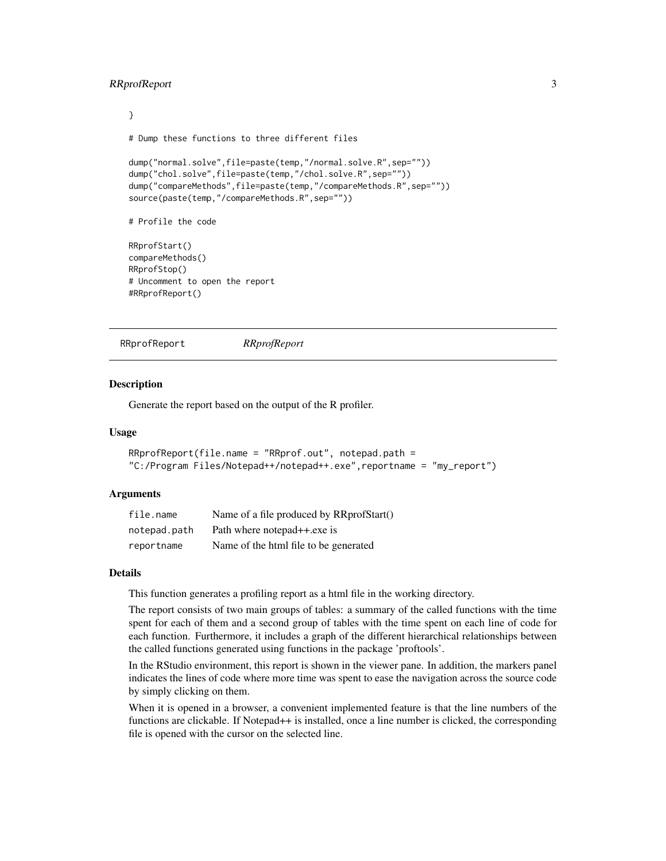#### <span id="page-2-0"></span>RRprofReport 3

```
}
# Dump these functions to three different files
dump("normal.solve",file=paste(temp,"/normal.solve.R",sep=""))
dump("chol.solve",file=paste(temp,"/chol.solve.R",sep=""))
dump("compareMethods",file=paste(temp,"/compareMethods.R",sep=""))
source(paste(temp,"/compareMethods.R",sep=""))
# Profile the code
RRprofStart()
compareMethods()
RRprofStop()
# Uncomment to open the report
#RRprofReport()
```

```
RRprofReport RRprofReport
```
#### Description

Generate the report based on the output of the R profiler.

#### Usage

```
RRprofReport(file.name = "RRprof.out", notepad.path =
"C:/Program Files/Notepad++/notepad++.exe",reportname = "my_report")
```
#### Arguments

| file.name    | Name of a file produced by RRprofStart() |
|--------------|------------------------------------------|
| notepad.path | Path where notepad++.exe is              |
| reportname   | Name of the html file to be generated    |

#### Details

This function generates a profiling report as a html file in the working directory.

The report consists of two main groups of tables: a summary of the called functions with the time spent for each of them and a second group of tables with the time spent on each line of code for each function. Furthermore, it includes a graph of the different hierarchical relationships between the called functions generated using functions in the package 'proftools'.

In the RStudio environment, this report is shown in the viewer pane. In addition, the markers panel indicates the lines of code where more time was spent to ease the navigation across the source code by simply clicking on them.

When it is opened in a browser, a convenient implemented feature is that the line numbers of the functions are clickable. If Notepad++ is installed, once a line number is clicked, the corresponding file is opened with the cursor on the selected line.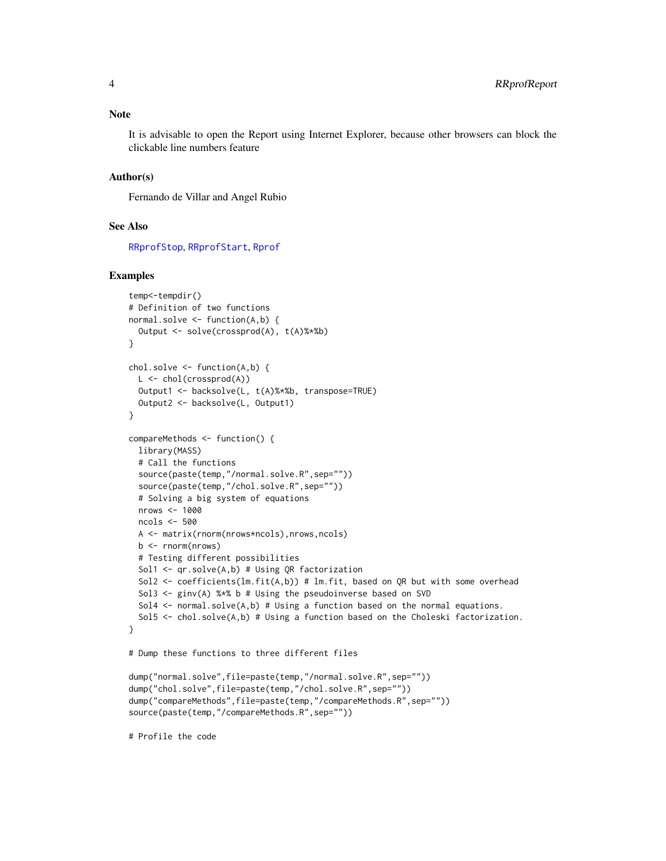<span id="page-3-0"></span>It is advisable to open the Report using Internet Explorer, because other browsers can block the clickable line numbers feature

#### Author(s)

Fernando de Villar and Angel Rubio

#### See Also

[RRprofStop](#page-5-1), [RRprofStart](#page-4-1), [Rprof](#page-0-1)

#### Examples

```
temp<-tempdir()
# Definition of two functions
normal.solve <- function(A,b) {
  Output <- solve(crossprod(A), t(A)%*%b)
}
chol.solve \leq function(A,b) {
  L \le - chol(crossprod(A))
  Output1 <- backsolve(L, t(A)%*%b, transpose=TRUE)
  Output2 <- backsolve(L, Output1)
}
compareMethods <- function() {
  library(MASS)
  # Call the functions
  source(paste(temp,"/normal.solve.R",sep=""))
  source(paste(temp,"/chol.solve.R",sep=""))
  # Solving a big system of equations
  nrows <- 1000
  ncols <- 500
  A <- matrix(rnorm(nrows*ncols),nrows,ncols)
  b \leq -rnorm(nrows)# Testing different possibilities
  Sol1 <- qr.solve(A,b) # Using QR factorization
  Sol2 <- coefficients(lm.fit(A,b)) # lm.fit, based on QR but with some overhead
  Sol3 \le ginv(A) %*% b # Using the pseudoinverse based on SVD
  Sol4 \le normal.solve(A,b) # Using a function based on the normal equations.
  Sol5 \le chol.solve(A,b) # Using a function based on the Choleski factorization.
}
# Dump these functions to three different files
dump("normal.solve",file=paste(temp,"/normal.solve.R",sep=""))
dump("chol.solve",file=paste(temp,"/chol.solve.R",sep=""))
```
dump("compareMethods",file=paste(temp,"/compareMethods.R",sep=""))

source(paste(temp,"/compareMethods.R",sep=""))

# Profile the code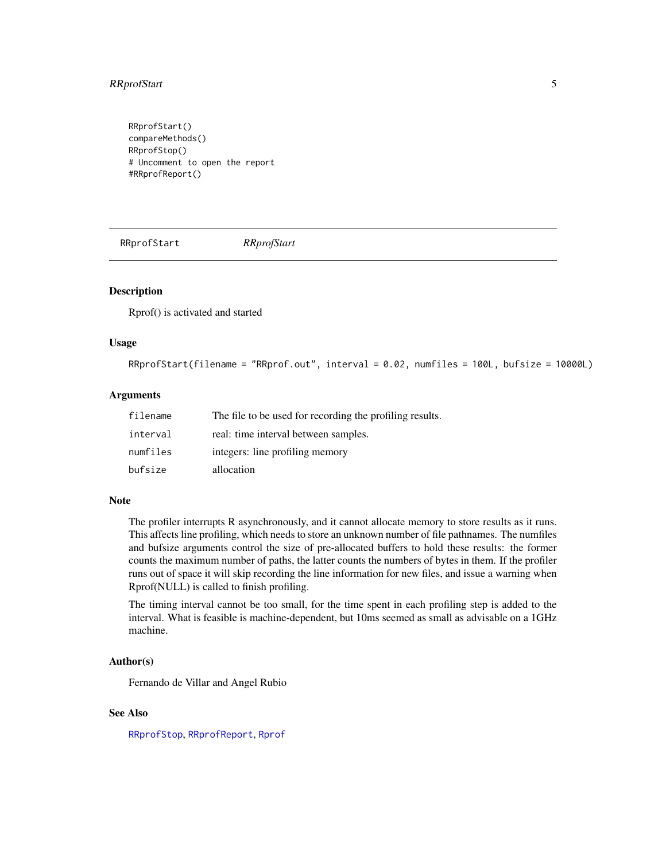#### <span id="page-4-0"></span>RRprofStart 5

RRprofStart() compareMethods() RRprofStop() # Uncomment to open the report #RRprofReport()

<span id="page-4-1"></span>RRprofStart *RRprofStart*

#### Description

Rprof() is activated and started

#### Usage

```
RRprofStart(filename = "RRprof.out", interval = 0.02, numfiles = 100L, bufsize = 10000L)
```
#### Arguments

| filename | The file to be used for recording the profiling results. |
|----------|----------------------------------------------------------|
| interval | real: time interval between samples.                     |
| numfiles | integers: line profiling memory                          |
| bufsize  | allocation                                               |

#### Note

The profiler interrupts R asynchronously, and it cannot allocate memory to store results as it runs. This affects line profiling, which needs to store an unknown number of file pathnames. The numfiles and bufsize arguments control the size of pre-allocated buffers to hold these results: the former counts the maximum number of paths, the latter counts the numbers of bytes in them. If the profiler runs out of space it will skip recording the line information for new files, and issue a warning when Rprof(NULL) is called to finish profiling.

The timing interval cannot be too small, for the time spent in each profiling step is added to the interval. What is feasible is machine-dependent, but 10ms seemed as small as advisable on a 1GHz machine.

#### Author(s)

Fernando de Villar and Angel Rubio

#### See Also

[RRprofStop](#page-5-1), [RRprofReport](#page-2-1), [Rprof](#page-0-1)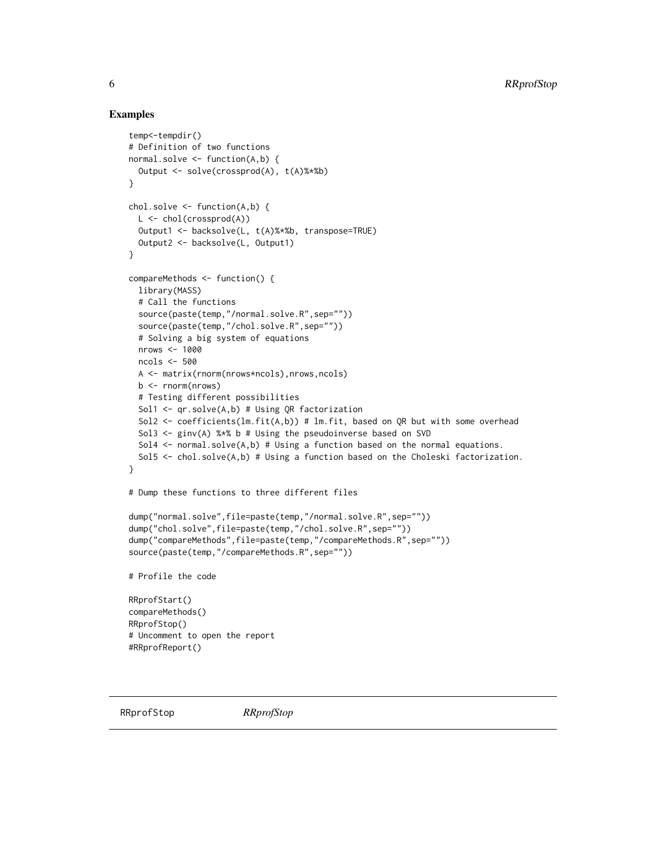#### Examples

```
temp<-tempdir()
# Definition of two functions
normal.solve <- function(A,b) {
  Output <- solve(crossprod(A), t(A)%*%b)
}
chol.solve <- function(A,b) {
  L <- chol(crossprod(A))
  Output1 <- backsolve(L, t(A)%*%b, transpose=TRUE)
  Output2 <- backsolve(L, Output1)
}
compareMethods <- function() {
  library(MASS)
  # Call the functions
  source(paste(temp,"/normal.solve.R",sep=""))
  source(paste(temp,"/chol.solve.R",sep=""))
  # Solving a big system of equations
  nrows <- 1000
  ncols <- 500
  A <- matrix(rnorm(nrows*ncols),nrows,ncols)
  b <- rnorm(nrows)
  # Testing different possibilities
  Sol1 <- qr.solve(A,b) # Using QR factorization
  Sol2 \leq coefficients(lm.fit(A,b)) # lm.fit, based on QR but with some overhead
  Sol3 \le ginv(A) %*% b # Using the pseudoinverse based on SVD
  Sol4 \le normal.solve(A,b) # Using a function based on the normal equations.
  Sol5 \le chol.solve(A,b) # Using a function based on the Choleski factorization.
}
# Dump these functions to three different files
dump("normal.solve",file=paste(temp,"/normal.solve.R",sep=""))
dump("chol.solve",file=paste(temp,"/chol.solve.R",sep=""))
dump("compareMethods",file=paste(temp,"/compareMethods.R",sep=""))
source(paste(temp,"/compareMethods.R",sep=""))
# Profile the code
RRprofStart()
compareMethods()
RRprofStop()
# Uncomment to open the report
#RRprofReport()
```
<span id="page-5-1"></span>RRprofStop *RRprofStop*

<span id="page-5-0"></span>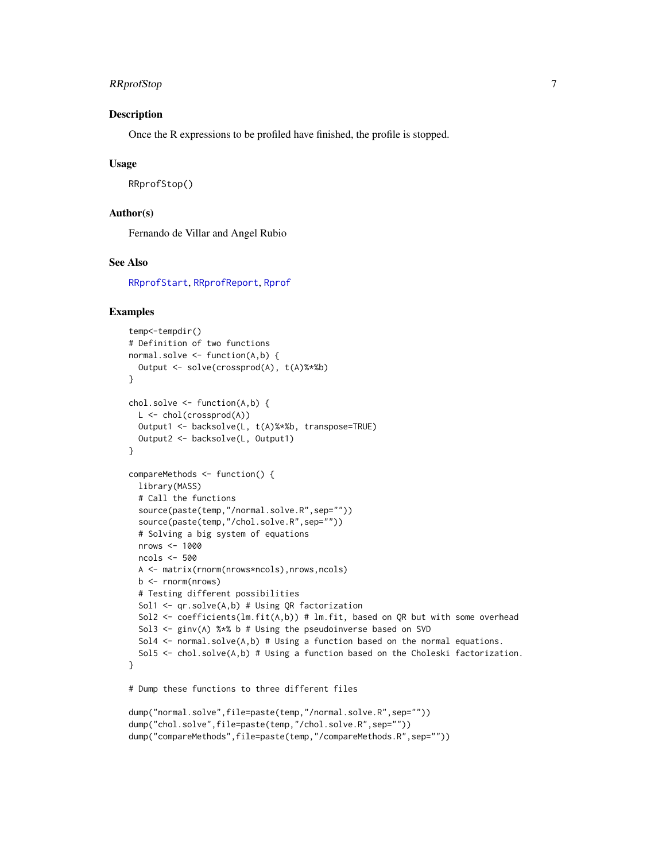#### <span id="page-6-0"></span>RRprofStop 7

#### Description

Once the R expressions to be profiled have finished, the profile is stopped.

#### Usage

RRprofStop()

#### Author(s)

Fernando de Villar and Angel Rubio

#### See Also

[RRprofStart](#page-4-1), [RRprofReport](#page-2-1), [Rprof](#page-0-1)

#### Examples

```
temp<-tempdir()
# Definition of two functions
normal.solve <- function(A,b) {
  Output <- solve(crossprod(A), t(A)%*%b)
}
chol.solve <- function(A,b) {
  L <- chol(crossprod(A))
  Output1 <- backsolve(L, t(A)%*%b, transpose=TRUE)
  Output2 <- backsolve(L, Output1)
}
compareMethods <- function() {
  library(MASS)
  # Call the functions
  source(paste(temp,"/normal.solve.R",sep=""))
  source(paste(temp,"/chol.solve.R",sep=""))
  # Solving a big system of equations
  nrows <- 1000
  ncols <- 500
  A <- matrix(rnorm(nrows*ncols),nrows,ncols)
  b \leq rnorm(nrows)
  # Testing different possibilities
  Sol1 <- qr.solve(A,b) # Using QR factorization
  Sol2 <- coefficients(lm.fit(A,b)) # lm.fit, based on QR but with some overhead
  Sol3 <- ginv(A) %*% b # Using the pseudoinverse based on SVD
  Sol4 \le normal.solve(A,b) # Using a function based on the normal equations.
  Sol5 \le chol.solve(A,b) # Using a function based on the Choleski factorization.
}
# Dump these functions to three different files
dump("normal.solve",file=paste(temp,"/normal.solve.R",sep=""))
dump("chol.solve",file=paste(temp,"/chol.solve.R",sep=""))
dump("compareMethods",file=paste(temp,"/compareMethods.R",sep=""))
```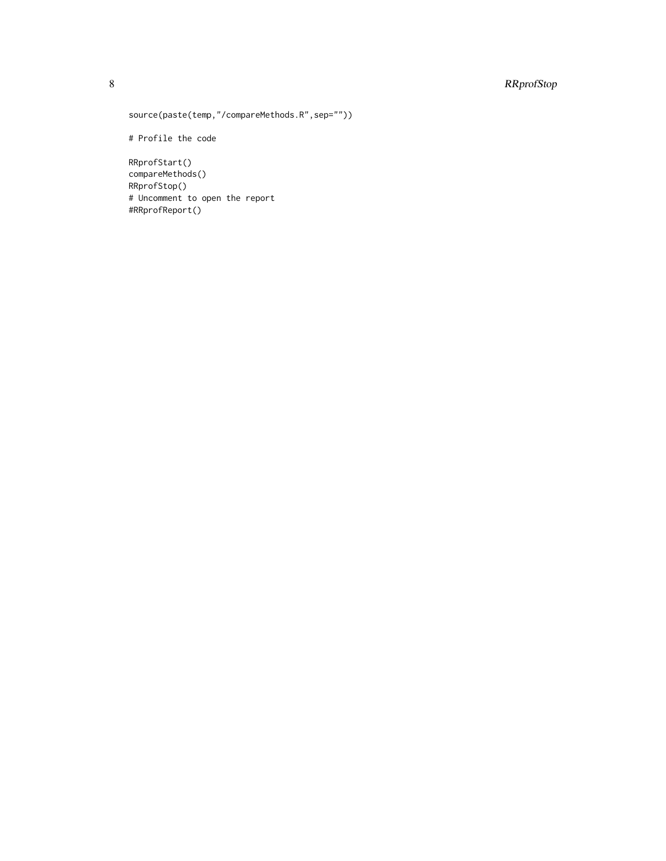#### 8 RRprofStop

```
source(paste(temp,"/compareMethods.R",sep=""))
```
# Profile the code

RRprofStart() compareMethods() RRprofStop() # Uncomment to open the report #RRprofReport()